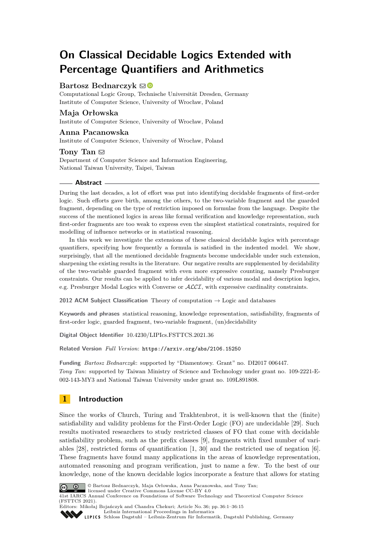# **On Classical Decidable Logics Extended with Percentage Quantifiers and Arithmetics**

### **Bartosz Bednarczyk**  $\boxtimes$

Computational Logic Group, Technische Universität Dresden, Germany Institute of Computer Science, University of Wrocław, Poland

### **Maja Orłowska**

Institute of Computer Science, University of Wrocław, Poland

#### **Anna Pacanowska**

Institute of Computer Science, University of Wrocław, Poland

#### Tony Tan  $\boxdot$

Department of Computer Science and Information Engineering, National Taiwan University, Taipei, Taiwan

#### **Abstract**

During the last decades, a lot of effort was put into identifying decidable fragments of first-order logic. Such efforts gave birth, among the others, to the two-variable fragment and the guarded fragment, depending on the type of restriction imposed on formulae from the language. Despite the success of the mentioned logics in areas like formal verification and knowledge representation, such first-order fragments are too weak to express even the simplest statistical constraints, required for modelling of influence networks or in statistical reasoning.

In this work we investigate the extensions of these classical decidable logics with percentage quantifiers, specifying how frequently a formula is satisfied in the indented model. We show, surprisingly, that all the mentioned decidable fragments become undecidable under such extension, sharpening the existing results in the literature. Our negative results are supplemented by decidability of the two-variable guarded fragment with even more expressive counting, namely Presburger constraints. Our results can be applied to infer decidability of various modal and description logics, e.g. Presburger Modal Logics with Converse or ALCI, with expressive cardinality constraints.

**2012 ACM Subject Classification** Theory of computation → Logic and databases

**Keywords and phrases** statistical reasoning, knowledge representation, satisfiability, fragments of first-order logic, guarded fragment, two-variable fragment, (un)decidability

**Digital Object Identifier** [10.4230/LIPIcs.FSTTCS.2021.36](https://doi.org/10.4230/LIPIcs.FSTTCS.2021.36)

**Related Version** *Full Version*: <https://arxiv.org/abs/2106.15250>

**Funding** *Bartosz Bednarczyk*: supported by "Diamentowy. Grant" no. DI2017 006447. *Tony Tan*: supported by Taiwan Ministry of Science and Technology under grant no. 109-2221-E-002-143-MY3 and National Taiwan University under grant no. 109L891808.

### **1 Introduction**

Since the works of Church, Turing and Trakhtenbrot, it is well-known that the (finite) satisfiability and validity problems for the First-Order Logic (FO) are undecidable [\[29\]](#page-14-0). Such results motivated researchers to study restricted classes of FO that come with decidable satisfiability problem, such as the prefix classes [\[9\]](#page-13-0), fragments with fixed number of variables [\[28\]](#page-14-1), restricted forms of quantification [\[1,](#page-13-1) [30\]](#page-14-2) and the restricted use of negation [\[6\]](#page-13-2). These fragments have found many applications in the areas of knowledge representation, automated reasoning and program verification, just to name a few. To the best of our knowledge, none of the known decidable logics incorporate a feature that allows for stating



© Bartosz Bednarczyk, Maja Orłowska, Anna Pacanowska, and Tony Tan;

licensed under Creative Commons License CC-BY 4.0 41st IARCS Annual Conference on Foundations of Software Technology and Theoretical Computer Science (FSTTCS 2021).

Editors: Mikołaj Bojańczyk and Chandra Chekuri; Article No. 36; pp. 36:1–36:15 [Leibniz International Proceedings in Informatics](https://www.dagstuhl.de/lipics/)

[Schloss Dagstuhl – Leibniz-Zentrum für Informatik, Dagstuhl Publishing, Germany](https://www.dagstuhl.de)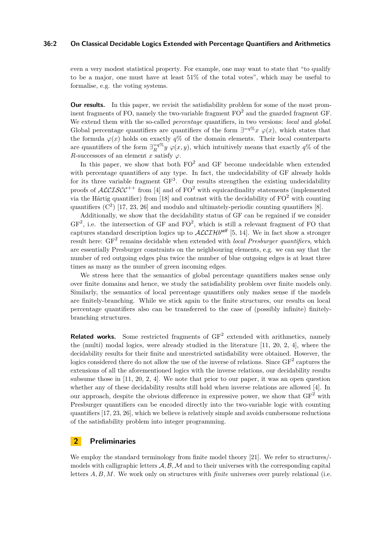#### **36:2 On Classical Decidable Logics Extended with Percentage Quantifiers and Arithmetics**

even a very modest statistical property. For example, one may want to state that "to qualify to be a major, one must have at least 51% of the total votes", which may be useful to formalise, e.g. the voting systems.

**Our results.** In this paper, we revisit the satisfiability problem for some of the most prominent fragments of FO, namely the two-variable fragment  $FO^2$  and the guarded fragment GF. We extend them with the so-called *percentage* quantifiers, in two versions: *local* and *global*. Global percentage quantifiers are quantifiers of the form  $\exists^{=q}\%\ x \varphi(x)$ , which states that the formula  $\varphi(x)$  holds on exactly  $q\%$  of the domain elements. Their local counterparts are quantifiers of the form  $\exists_R^{-q\%} y \varphi(x, y)$ , which intuitively means that exactly  $q\%$  of the *R*-successors of an element *x* satisfy  $\varphi$ .

In this paper, we show that both  $FO^2$  and GF become undecidable when extended with percentage quantifiers of any type. In fact, the undecidability of GF already holds for its three variable fragment  $GF<sup>3</sup>$ . Our results strengthen the existing undecidability proofs of  $ALCISCC^{++}$  from [\[4\]](#page-13-3) and of FO<sup>2</sup> with equicardinality statements (implemented via the Härtig quantifier) from [\[18\]](#page-14-3) and contrast with the decidability of  $FO^2$  with counting quantifiers  $(C^2)$  [\[17,](#page-13-4) [23,](#page-14-4) [26\]](#page-14-5) and modulo and ultimately-periodic counting quantifiers [\[8\]](#page-13-5).

Additionally, we show that the decidability status of GF can be regained if we consider  $GF<sup>2</sup>$ , i.e. the intersection of GF and  $FO<sup>2</sup>$ , which is still a relevant fragment of FO that captures standard description logics up to  $\mathcal{ALCILH}^{self}$  [\[5,](#page-13-6) [14\]](#page-13-7). We in fact show a stronger result here: GF<sup>2</sup> remains decidable when extended with *local Presburger quantifiers*, which are essentially Presburger constraints on the neighbouring elements, e.g. we can say that the number of red outgoing edges plus twice the number of blue outgoing edges is at least three times as many as the number of green incoming edges.

We stress here that the semantics of global percentage quantifiers makes sense only over finite domains and hence, we study the satisfiability problem over finite models only. Similarly, the semantics of local percentage quantifiers only makes sense if the models are finitely-branching. While we stick again to the finite structures, our results on local percentage quantifiers also can be transferred to the case of (possibly infinite) finitelybranching structures.

**Related works.** Some restricted fragments of GF<sup>2</sup> extended with arithmetics, namely the (multi) modal logics, were already studied in the literature [\[11,](#page-13-8) [20,](#page-14-6) [2,](#page-13-9) [4\]](#page-13-3), where the decidability results for their finite and unrestricted satisfiability were obtained. However, the logics considered there do not allow the use of the inverse of relations. Since  $GF^2$  captures the extensions of all the aforementioned logics with the inverse relations, our decidability results subsume those in [\[11,](#page-13-8) [20,](#page-14-6) [2,](#page-13-9) [4\]](#page-13-3). We note that prior to our paper, it was an open question whether any of these decidability results still hold when inverse relations are allowed [\[4\]](#page-13-3). In our approach, despite the obvious difference in expressive power, we show that  $GF<sup>2</sup>$  with Presburger quantifiers can be encoded directly into the two-variable logic with counting quantifiers [\[17,](#page-13-4) [23,](#page-14-4) [26\]](#page-14-5), which we believe is relatively simple and avoids cumbersome reductions of the satisfiability problem into integer programming.

### **2 Preliminaries**

We employ the standard terminology from finite model theory [\[21\]](#page-14-7). We refer to structures/ models with calligraphic letters  $A$ ,  $B$ ,  $M$  and to their universes with the corresponding capital letters *A, B, M*. We work only on structures with *finite* universes over purely relational (i.e.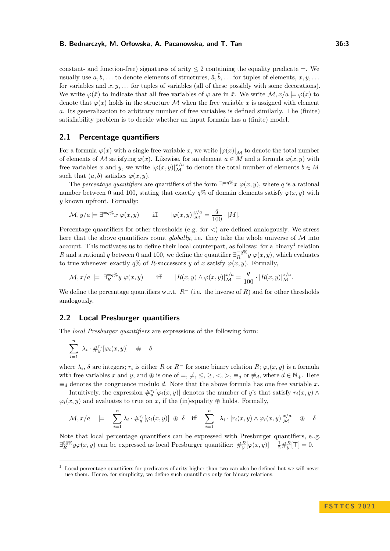#### **B. Bednarczyk, M. Orłowska, A. Pacanowska, and T. Tan 36:3**

constant- and function-free) signatures of arity  $\leq 2$  containing the equality predicate =. We usually use  $a, b, \ldots$  to denote elements of structures,  $\overline{a}, \overline{b}, \ldots$  for tuples of elements,  $x, y, \ldots$ for variables and  $\bar{x}, \bar{y}, \ldots$  for tuples of variables (all of these possibly with some decorations). We write  $\varphi(\bar{x})$  to indicate that all free variables of  $\varphi$  are in  $\bar{x}$ . We write  $\mathcal{M}, x/a \models \varphi(x)$  to denote that  $\varphi(x)$  holds in the structure M when the free variable x is assigned with element *a*. Its generalization to arbitrary number of free variables is defined similarly. The (finite) satisfiability problem is to decide whether an input formula has a (finite) model.

### **2.1 Percentage quantifiers**

For a formula  $\varphi(x)$  with a single free-variable *x*, we write  $|\varphi(x)|_{\mathcal{M}}$  to denote the total number of elements of M satisfying  $\varphi(x)$ . Likewise, for an element  $a \in M$  and a formula  $\varphi(x, y)$  with free variables *x* and *y*, we write  $|\varphi(x, y)|_{\mathcal{M}}^{x/a}$  to denote the total number of elements  $b \in M$ such that  $(a, b)$  satisfies  $\varphi(x, y)$ .

The *percentage quantifiers* are quantifiers of the form  $\exists^{=q}\%\ x \varphi(x,y)$ , where q is a rational number between 0 and 100, stating that exactly  $q\%$  of domain elements satisfy  $\varphi(x, y)$  with *y* known upfront. Formally:

$$
\mathcal{M}, y/a \models \exists^{=q\%} x \; \varphi(x,y) \qquad \text{iff} \qquad |\varphi(x,y)|_{\mathcal{M}}^{y/a} = \frac{q}{100} \cdot |M|.
$$

Percentage quantifiers for other thresholds (e.g. for *<*) are defined analogously. We stress here that the above quantifiers count *globally*, i.e. they take the whole universe of  $M$  into account. This motivates us to define their local counterpart, as follows: for a binary<sup>[1](#page-2-0)</sup> relation *R* and a rational *q* between 0 and 100, we define the quantifier  $\exists_R^{-q} \mathcal{V}(\mathcal{X}, \mathcal{Y})$ , which evaluates to true whenever exactly  $q\%$  of *R*-successors *y* of *x* satisfy  $\varphi(x, y)$ . Formally,

$$
\mathcal{M}, x/a \ \models \ \exists_R^{-q\%} y \ \varphi(x, y) \qquad \text{iff} \qquad |R(x, y) \wedge \varphi(x, y)|_{\mathcal{M}}^{x/a} = \frac{q}{100} \cdot |R(x, y)|_{\mathcal{M}}^{x/a}.
$$

We define the percentage quantifiers w.r.t.  $R^{-}$  (i.e. the inverse of  $R$ ) and for other thresholds analogously.

### <span id="page-2-1"></span>**2.2 Local Presburger quantifiers**

The *local Presburger quantifiers* are expressions of the following form:

$$
\sum_{i=1}^n \lambda_i \cdot #_j^r[\varphi_i(x,y)] \quad \circledast \quad \delta
$$

where  $\lambda_i$ ,  $\delta$  are integers;  $r_i$  is either  $R$  or  $R^-$  for some binary relation  $R$ ;  $\varphi_i(x, y)$  is a formula with free variables x and y; and  $\otimes$  is one of =,  $\neq$ ,  $\leq$ ,  $\geq$ ,  $\lt$ ,  $>$ ,  $\equiv$ <sub>*d*</sub> or  $\neq$ <sub>*d*</sub>, where  $d \in \mathbb{N}_+$ . Here  $\equiv_d$  denotes the congruence modulo *d*. Note that the above formula has one free variable *x*.

Intuitively, the expression  $\#_{y}^{r_i}[\varphi_i(x, y)]$  denotes the number of *y*'s that satisfy  $r_i(x, y) \wedge$  $\varphi$ <sup>*i*</sup>(*x, y*) and evaluates to true on *x*, if the (in)equality ⊛ holds. Formally,

$$
\mathcal{M}, x/a \models \sum_{i=1}^n \lambda_i \cdot #_i^r [\varphi_i(x, y)] \circledast \delta \text{ iff } \sum_{i=1}^n \lambda_i \cdot |r_i(x, y) \wedge \varphi_i(x, y)|_{\mathcal{M}}^{x/a} \circledast \delta
$$

Note that local percentage quantifiers can be expressed with Presburger quantifiers, e..g.  $\exists_R^{50\%} y \varphi(x, y)$  can be expressed as local Presburger quantifier:  $\#_y^R[\varphi(x, y)] - \frac{1}{2} \#_y^R[\top] = 0.$ 

<span id="page-2-0"></span><sup>&</sup>lt;sup>1</sup> Local percentage quantifiers for predicates of arity higher than two can also be defined but we will never use them. Hence, for simplicity, we define such quantifiers only for binary relations.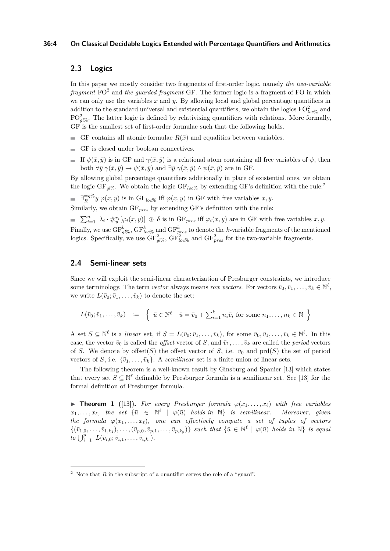#### **36:4 On Classical Decidable Logics Extended with Percentage Quantifiers and Arithmetics**

### **2.3 Logics**

In this paper we mostly consider two fragments of first-order logic, namely *the two-variable* fragment FO<sup>2</sup> and *the guarded fragment* GF. The former logic is a fragment of FO in which we can only use the variables *x* and *y*. By allowing local and global percentage quantifiers in addition to the standard universal and existential quantifiers, we obtain the logics  $\mathrm{FO}_{loc\%}^2$  and  $FO_{gl\%}^2$ . The latter logic is defined by relativising quantifiers with relations. More formally, GF is the smallest set of first-order formulae such that the following holds.

- GF contains all atomic formulae  $R(\bar{x})$  and equalities between variables.
- GF is closed under boolean connectives.
- If  $\psi(\bar{x}, \bar{y})$  is in GF and  $\gamma(\bar{x}, \bar{y})$  is a relational atom containing all free variables of  $\psi$ , then both  $\forall \bar{y} \gamma(\bar{x}, \bar{y}) \rightarrow \psi(\bar{x}, \bar{y})$  and  $\exists \bar{y} \gamma(\bar{x}, \bar{y}) \wedge \psi(\bar{x}, \bar{y})$  are in GF.

By allowing global percentage quantifiers additionally in place of existential ones, we obtain the logic GF<sub>ql%</sub>. We obtain the logic GF<sub>loc%</sub> by extending GF's definition with the rule:<sup>[2](#page-3-0)</sup>

 $\exists_R^{-q\%} y \; \varphi(x, y)$  is in GF<sub>loc</sub><sup>o</sup> iff  $\varphi(x, y)$  in GF with free variables  $x, y$ .

Similarly, we obtain GF*pres* by extending GF's definition with the rule:

 $\sum_{i=1}^n \lambda_i \cdot #_{y}^{\{r_i\}}[\varphi_i(x,y)] \circledast \delta$  is in GF<sub>*pres*</sub> iff  $\varphi_i(x,y)$  are in GF with free variables  $x, y$ .

Finally, we use  $GF_{g\ell\%}^k$ ,  $GF_{loc\%}^k$  and  $GF_{pres}^k$  to denote the *k*-variable fragments of the mentioned logics. Specifically, we use  $GF_{g\ell\%}^2$ ,  $GF_{loc\%}^2$  and  $GF_{pres}^2$  for the two-variable fragments.

### **2.4 Semi-linear sets**

Since we will exploit the semi-linear characterization of Presburger constraints, we introduce some terminology. The term *vector* always means *row vectors*. For vectors  $\bar{v}_0, \bar{v}_1, \ldots, \bar{v}_k \in \mathbb{N}^{\ell}$ , we write  $L(\bar{v}_0; \bar{v}_1, \dots, \bar{v}_k)$  to denote the set:

$$
L(\bar{v}_0; \bar{v}_1, \dots, \bar{v}_k) \quad := \quad \left\{ \begin{array}{c} \bar{u} \in \mathbb{N}^\ell \mid \bar{u} = \bar{v}_0 + \sum_{i=1}^k n_i \bar{v}_i \text{ for some } n_1, \dots, n_k \in \mathbb{N} \end{array} \right\}
$$

A set  $S \subseteq \mathbb{N}^{\ell}$  is a linear set, if  $S = L(\bar{v}_0; \bar{v}_1, \ldots, \bar{v}_k)$ , for some  $\bar{v}_0, \bar{v}_1, \ldots, \bar{v}_k \in \mathbb{N}^{\ell}$ . In this case, the vector  $\bar{v}_0$  is called the *offset* vector of *S*, and  $\bar{v}_1, \ldots, \bar{v}_k$  are called the *period* vectors of *S*. We denote by offset(*S*) the offset vector of *S*, i.e.  $\bar{v}_0$  and prd(*S*) the set of period vectors of *S*, i.e.  $\{\bar{v}_1, \ldots, \bar{v}_k\}$ . A *semilinear* set is a finite union of linear sets.

The following theorem is a well-known result by Ginsburg and Spanier [\[13\]](#page-13-10) which states that every set  $S \subseteq \mathbb{N}^{\ell}$  definable by Presburger formula is a semilinear set. See [\[13\]](#page-13-10) for the formal definition of Presburger formula.

<span id="page-3-1"></span>**Figure 1** ([\[13\]](#page-13-10)). For every Presburger formula  $\varphi(x_1, \ldots, x_\ell)$  with free variables  $x_1, \ldots, x_\ell$ , the set  $\{\bar{u} \in \mathbb{N}^\ell \mid \varphi(\bar{u}) \text{ holds in } \mathbb{N}\}$  is semilinear. Moreover, given *the formula*  $\varphi(x_1, \ldots, x_\ell)$ *, one can effectively compute a set of tuples of vectors*  $\{(\bar{v}_1, \ldots, \bar{v}_1, k_1), \ldots, (\bar{v}_{p,0}, \bar{v}_{p,1}, \ldots, \bar{v}_{p,k_p})\}\$  such that  $\{\bar{u} \in \mathbb{N}^{\ell} \mid \varphi(\bar{u})\}$  holds in  $\mathbb{N}\}\$  is equal  $to \bigcup_{i=1}^{p} L(\bar{v}_{i,0}; \bar{v}_{i,1}, \ldots, \bar{v}_{i,k_i}).$ 

<span id="page-3-0"></span><sup>&</sup>lt;sup>2</sup> Note that *R* in the subscript of a quantifier serves the role of a "guard".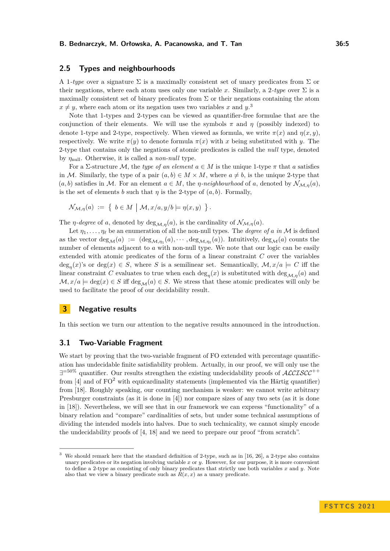### **2.5 Types and neighbourhoods**

A 1*-type* over a signature  $\Sigma$  is a maximally consistent set of unary predicates from  $\Sigma$  or their negations, where each atom uses only one variable x. Similarly, a 2*-type* over  $\Sigma$  is a maximally consistent set of binary predicates from  $\Sigma$  or their negations containing the atom  $x \neq y$ , where each atom or its negation uses two variables *x* and *y*.<sup>[3](#page-4-0)</sup>

Note that 1-types and 2-types can be viewed as quantifier-free formulae that are the conjunction of their elements. We will use the symbols  $\pi$  and  $\eta$  (possibly indexed) to denote 1-type and 2-type, respectively. When viewed as formula, we write  $\pi(x)$  and  $\eta(x, y)$ , respectively. We write *π*(*y*) to denote formula *π*(*x*) with *x* being substituted with *y*. The 2-type that contains only the negations of atomic predicates is called the *null* type, denoted by *η*null. Otherwise, it is called a *non-null* type.

For a  $\Sigma$ -structure M, the *type of an element*  $a \in M$  is the unique 1-type  $\pi$  that a satisfies in M. Similarly, the type of a pair  $(a, b) \in M \times M$ , where  $a \neq b$ , is the unique 2-type that  $(a, b)$  satisfies in M. For an element  $a \in M$ , the *η*-neighbourhood of *a*, denoted by  $\mathcal{N}_{\mathcal{M},n}(a)$ , is the set of elements *b* such that  $\eta$  is the 2-type of  $(a, b)$ . Formally,

$$
\mathcal{N}_{\mathcal{M},\eta}(a) := \left\{ b \in M \mid \mathcal{M}, x/a, y/b \models \eta(x,y) \right\}.
$$

The *η-degree* of *a*, denoted by  $\deg_{\mathcal{M},\eta}(a)$ , is the cardinality of  $\mathcal{N}_{\mathcal{M},\eta}(a)$ .

Let  $\eta_1, \ldots, \eta_\ell$  be an enumeration of all the non-null types. The *degree of a in* M is defined as the vector  $\deg_M(a) := (\deg_{\mathcal{M}, \eta_1}(a), \cdots, \deg_{\mathcal{M}, \eta_\ell}(a))$ . Intuitively,  $\deg_{\mathcal{M}}(a)$  counts the number of elements adjacent to *a* with non-null type. We note that our logic can be easily extended with atomic predicates of the form of a linear constraint *C* over the variables  $deg_{\eta}(x)$ 's or  $deg(x) \in S$ , where *S* is a semilinear set. Semantically,  $\mathcal{M}, x/a \models C$  iff the linear constraint *C* evaluates to true when each  $\deg_{\eta}(x)$  is substituted with  $\deg_{\mathcal{M},\eta}(a)$  and  $\mathcal{M}, x/a \models \deg(x) \in S$  iff  $\deg_{\mathcal{M}}(a) \in S$ . We stress that these atomic predicates will only be used to facilitate the proof of our decidability result.

### **3 Negative results**

In this section we turn our attention to the negative results announced in the introduction.

### **3.1 Two-Variable Fragment**

We start by proving that the two-variable fragment of FO extended with percentage quantification has undecidable finite satisfiability problem. Actually, in our proof, we will only use the  $\exists$ <sup>=50%</sup> quantifier. Our results strengthen the existing undecidability proofs of  $\mathcal{ALCISCC}^{++}$ from  $[4]$  and of FO<sup>2</sup> with equicardinality statements (implemented via the Härtig quantifier) from [\[18\]](#page-14-3). Roughly speaking, our counting mechanism is weaker: we cannot write arbitrary Presburger constraints (as it is done in [\[4\]](#page-13-3)) nor compare sizes of any two sets (as it is done in [\[18\]](#page-14-3)). Nevertheless, we will see that in our framework we can express "functionality" of a binary relation and "compare" cardinalities of sets, but under some technical assumptions of dividing the intended models into halves. Due to such technicality, we cannot simply encode the undecidability proofs of [\[4,](#page-13-3) [18\]](#page-14-3) and we need to prepare our proof "from scratch".

<span id="page-4-0"></span>We should remark here that the standard definition of 2-type, such as in [\[16,](#page-13-11) [26\]](#page-14-5), a 2-type also contains unary predicates or its negation involving variable *x* or *y*. However, for our purpose, it is more convenient to define a 2-type as consisting of only binary predicates that strictly use both variables *x* and *y*. Note also that we view a binary predicate such as  $R(x, x)$  as a unary predicate.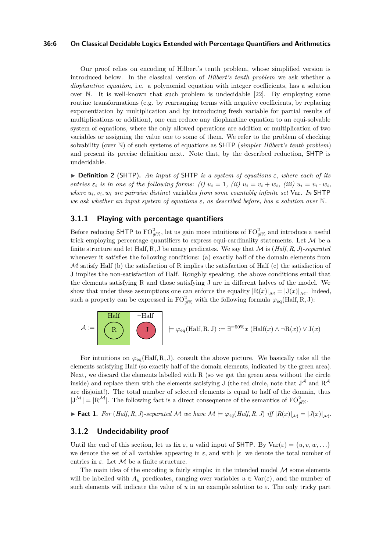#### **36:6 On Classical Decidable Logics Extended with Percentage Quantifiers and Arithmetics**

Our proof relies on encoding of Hilbert's tenth problem, whose simplified version is introduced below. In the classical version of *Hilbert's tenth problem* we ask whether a *diophantine equation*, i.e. a polynomial equation with integer coefficients, has a solution over N. It is well-known that such problem is undecidable [\[22\]](#page-14-8). By employing some routine transformations (e.g. by rearranging terms with negative coefficients, by replacing exponentiation by multiplication and by introducing fresh variable for partial results of multiplications or addition), one can reduce any diophantine equation to an equi-solvable system of equations, where the only allowed operations are addition or multiplication of two variables or assigning the value one to some of them. We refer to the problem of checking solvability (over N) of such systems of equations as SHTP (*simpler Hilbert's tenth problem*) and present its precise definition next. Note that, by the described reduction, SHTP is undecidable.

 $\triangleright$  **Definition 2** (SHTP). An input of SHTP is a system of equations  $\varepsilon$ , where each of its entries  $\varepsilon_i$  is in one of the following forms: (i)  $u_i = 1$ , (ii)  $u_i = v_i + w_i$ , (iii)  $u_i = v_i \cdot w_i$ , *where u<sup>i</sup> , v<sup>i</sup> , w<sup>i</sup> are pairwise distinct* variables *from some countably infinite set* Var*. In* SHTP *we ask whether an input system of equations ε, as described before, has a solution over* N*.*

### <span id="page-5-0"></span>**3.1.1 Playing with percentage quantifiers**

Before reducing SHTP to  $\text{FO}_{gl\%}^2$ , let us gain more intuitions of  $\text{FO}_{gl\%}^2$  and introduce a useful trick employing percentage quantifiers to express equi-cardinality statements. Let  $\mathcal M$  be a finite structure and let Half, R, J be unary predicates. We say that  $M$  is  $(Half, R, J)$ -separated whenever it satisfies the following conditions: (a) exactly half of the domain elements from  $\mathcal M$  satisfy Half (b) the satisfaction of R implies the satisfaction of Half (c) the satisfaction of J implies the non-satisfaction of Half. Roughly speaking, the above conditions entail that the elements satisfying R and those satisfying J are in different halves of the model. We show that under these assumptions one can enforce the equality  $|R(x)|_{\mathcal{M}} = |J(x)|_{\mathcal{M}}$ . Indeed, such a property can be expressed in  $\mathrm{FO}_{gl\%}^2$  with the following formula  $\varphi_{\text{eq}}(\text{Half}, \text{R}, \text{J})$ :

$$
\mathcal{A} := \begin{bmatrix} \begin{array}{c} \text{Half} \\ \text{R} \end{array} \\ \begin{array}{c} \end{array} \end{bmatrix} \begin{array}{c} \neg \text{Half} \\ \text{J} \end{array} \end{bmatrix} \models \varphi_{\text{eq}}(\text{Half}, R, J) := \exists^{=50\%} x \ (\text{Half}(x) \land \neg R(x)) \lor J(x)
$$

For intuitions on *φ*eq(Half*,* R*,* J), consult the above picture. We basically take all the elements satisfying Half (so exactly half of the domain elements, indicated by the green area). Next, we discard the elements labelled with R (so we get the green area without the circle inside) and replace them with the elements satisfying J (the red circle, note that  $J^{\mathcal{A}}$  and  $R^{\mathcal{A}}$ are disjoint!). The total number of selected elements is equal to half of the domain, thus  $|J^{\mathcal{M}}| = |R^{\mathcal{M}}|$ . The following fact is a direct consequence of the semantics of  $FO_{gl\%}^2$ .

► Fact 1. For (Half, R, J)-separated M we have  $M \models \varphi_{eq}(Half, R, J)$  iff  $|R(x)|_{\mathcal{M}} = |J(x)|_{\mathcal{M}}$ .

### **3.1.2 Undecidability proof**

Until the end of this section, let us fix  $\varepsilon$ , a valid input of SHTP. By  $\text{Var}(\varepsilon) = \{u, v, w, \ldots\}$ we denote the set of all variables appearing in  $\varepsilon$ , and with  $|\varepsilon|$  we denote the total number of entries in  $\varepsilon$ . Let  $\mathcal M$  be a finite structure.

The main idea of the encoding is fairly simple: in the intended model  $\mathcal M$  some elements will be labelled with  $A_u$  predicates, ranging over variables  $u \in \text{Var}(\varepsilon)$ , and the number of such elements will indicate the value of  $u$  in an example solution to  $\varepsilon$ . The only tricky part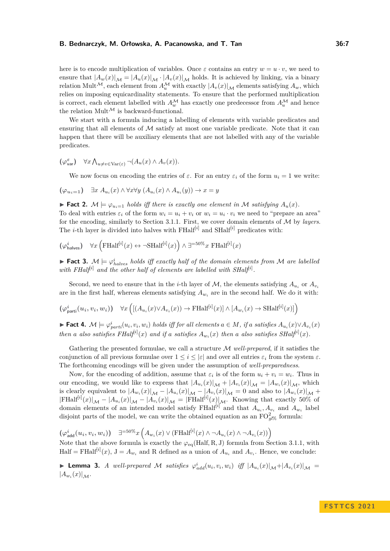#### **B. Bednarczyk, M. Orłowska, A. Pacanowska, and T. Tan 36:7**

here is to encode multiplication of variables. Once  $\varepsilon$  contains an entry  $w = u \cdot v$ , we need to ensure that  $|A_w(x)|_{\mathcal{M}} = |A_u(x)|_{\mathcal{M}} \cdot |A_v(x)|_{\mathcal{M}}$  holds. It is achieved by linking, via a binary relation Mult<sup>M</sup>, each element from  $A_u^{\mathcal{M}}$  with exactly  $|A_v(x)|_{\mathcal{M}}$  elements satisfying  $A_w$ , which relies on imposing equicardinality statements. To ensure that the performed multiplication is correct, each element labelled with  $A_w^{\mathcal{M}}$  has exactly one predecessor from  $A_u^{\mathcal{M}}$  and hence the relation Mult<sup> $M$ </sup> is backward-functional.

We start with a formula inducing a labelling of elements with variable predicates and ensuring that all elements of  $M$  satisfy at most one variable predicate. Note that it can happen that there will be auxiliary elements that are not labelled with any of the variable predicates.

$$
(\varphi_{\text{var}}^{\varepsilon}) \quad \forall x \bigwedge_{u \neq v \in \text{Var}(\varepsilon)} \neg (A_u(x) \land A_v(x)).
$$

We now focus on encoding the entries of  $\varepsilon$ . For an entry  $\varepsilon_i$  of the form  $u_i = 1$  we write:

$$
(\varphi_{u_i=1}) \quad \exists x \ A_{u_i}(x) \land \forall x \forall y \ (A_{u_i}(x) \land A_{u_i}(y)) \to x = y
$$

**Fact 2.**  $\mathcal{M} \models \varphi_{u \in \mathbb{R}}$  *holds iff there is exactly one element in*  $\mathcal{M}$  *satisfying*  $A_u(x)$ *.* To deal with entries  $\varepsilon_i$  of the form  $w_i = u_i + v_i$  or  $w_i = u_i \cdot v_i$  we need to "prepare an area" for the encoding, similarly to Section [3.1.1.](#page-5-0) First, we cover domain elements of M by *layers*. The *i*-th layer is divided into halves with  $FHalf<sup>[i]</sup>$  and  $SHalf<sup>[i]</sup>$  predicates with:

$$
(\varphi_{\text{halves}}^i) \quad \forall x \left( \text{FHalf}^{[i]}(x) \leftrightarrow \neg \text{SHalf}^{[i]}(x) \right) \land \exists^{\text{=50\%}} x \text{ FHalf}^{[i]}(x)
$$

**Fact 3.**  $M \models \varphi_{halves}^i$  holds iff exactly half of the domain elements from M are labelled with FHalf<sup>[*i*]</sup> and the other half of elements are labelled with SHalf<sup>[*i*]</sup>.

Second, we need to ensure that in the *i*-th layer of  $M$ , the elements satisfying  $A_{u_i}$  or  $A_{v_i}$ are in the first half, whereas elements satisfying  $A_{w_i}$  are in the second half. We do it with:

$$
(\varphi^i_{\text{parti}}(u_i, v_i, w_i)) \quad \forall x \left( [(A_{u_i}(x) \lor A_{v_i}(x)) \to \text{FHalf}^{[i]}(x)] \land [A_{w_i}(x) \to \text{SHalf}^{[i]}(x)] \right)
$$

► Fact 4.  $\mathcal{M} \models \varphi_{parti}^{i}(u_i, v_i, w_i)$  holds iff for all elements  $a \in M$ , if a satisfies  $A_{u_i}(x) \vee A_{v_i}(x)$ *then a also satisfies*  $FHalf^{i]}(x)$  *and if a satisfies*  $A_{w_i}(x)$  *then a also satisfies*  $SHalf^{i]}(x)$ *.* 

Gathering the presented formulae, we call a structure M *well-prepared*, if it satisfies the conjunction of all previous formulae over  $1 \leq i \leq |\varepsilon|$  and over all entries  $\varepsilon_i$  from the system  $\varepsilon$ . The forthcoming encodings will be given under the assumption of *well-preparedness*.

Now, for the encoding of addition, assume that  $\varepsilon_i$  is of the form  $u_i + v_i = w_i$ . Thus in our encoding, we would like to express that  $|A_{u_i}(x)|_{\mathcal{M}} + |A_{v_i}(x)|_{\mathcal{M}} = |A_{w_i}(x)|_{\mathcal{M}}$ , which is clearly equivalent to  $|A_{w_i}(x)|_{\mathcal{M}} - |A_{u_i}(x)|_{\mathcal{M}} - |A_{v_i}(x)|_{\mathcal{M}} = 0$  and also to  $|A_{w_i}(x)|_{\mathcal{M}} +$  $|F\text{Half}^{[i]}(x)|_{\mathcal{M}} - |A_{u_i}(x)|_{\mathcal{M}} - |A_{v_i}(x)|_{\mathcal{M}} = |F\text{Half}^{[i]}(x)|_{\mathcal{M}}$ . Knowing that exactly 50% of domain elements of an intended model satisfy FHalf<sup>[*i*]</sup> and that  $A_{u_i}, A_{v_i}$  and  $A_{w_i}$  label disjoint parts of the model, we can write the obtained equation as an  $\text{FO}_{g l \%}^2$  formula:

$$
\left(\varphi_{\text{add}}^i(u_i, v_i, w_i)\right) \quad \exists^{=50\%} x \left(A_{w_i}(x) \vee (\text{FHalf}^{[i]}(x) \wedge \neg A_{u_i}(x) \wedge \neg A_{v_i}(x))\right)
$$
  
Note that the above formula is exactly the  $\varphi_{\text{eq}}(\text{Half}, R, J)$  formula from Section 3.1.1, with  
Half = FHalf<sup>[i]</sup>(x), J = A\_{w\_i} and R defined as a union of  $A_{u_i}$  and  $A_{v_i}$ . Hence, we conclude:

**Lemma 3.** A well-prepared M satisfies  $\varphi_{add}^i(u_i, v_i, w_i)$  iff  $|A_{u_i}(x)|_{\mathcal{M}}+|A_{v_i}(x)|_{\mathcal{M}} =$  $|A_{w_i}(x)|_{\mathcal{M}}$ .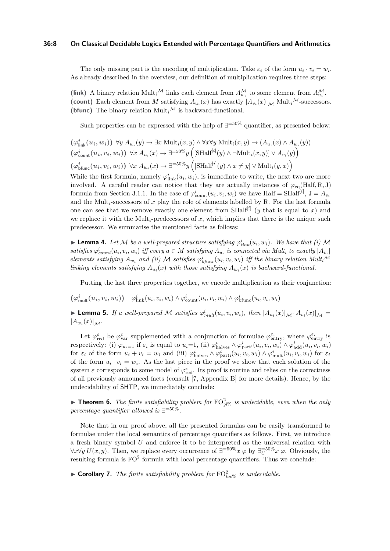#### **36:8 On Classical Decidable Logics Extended with Percentage Quantifiers and Arithmetics**

The only missing part is the encoding of multiplication. Take  $\varepsilon_i$  of the form  $u_i \cdot v_i = w_i$ . As already described in the overview, our definition of multiplication requires three steps:

(link) A binary relation  $\text{Mult}_i^{\mathcal{M}}$  links each element from  $A_{w_i}^{\mathcal{M}}$  to some element from  $A_{u_i}^{\mathcal{M}}$ . (count) Each element from *M* satisfying  $A_{u_i}(x)$  has exactly  $|A_{v_i}(x)|_{\mathcal{M}}$  Mult<sub>i</sub><sup> $M$ </sup>-successors. (bfunc) The binary relation  $Mult_i^{\mathcal{M}}$  is backward-functional.

Such properties can be expressed with the help of  $\exists$ <sup>=50%</sup> quantifier, as presented below:

$$
(\varphi_{\text{link}}^i(u_i, w_i)) \ \forall y \ A_{w_i}(y) \to \exists x \ \text{Mult}_i(x, y) \land \forall x \forall y \ \text{Mult}_i(x, y) \to (A_{u_i}(x) \land A_{w_i}(y))
$$
  

$$
(\varphi_{\text{count}}^i(u_i, v_i, w_i)) \ \forall x \ A_{u_i}(x) \to \exists^{=50\%} y \left( [\text{SHalf}^{[i]}(y) \land \neg \text{Mult}_i(x, y)] \lor A_{v_i}(y) \right)
$$
  

$$
(\varphi_{\text{bfunc}}^i(u_i, v_i, w_i)) \ \forall x \ A_{w_i}(x) \to \exists^{=50\%} y \left( [\text{SHalf}^{[i]}(y) \land x \neq y] \lor \text{Mult}_i(y, x) \right)
$$

While the first formula, namely  $\varphi_{\text{link}}^i(u_i, w_i)$ , is immediate to write, the next two are more involved. A careful reader can notice that they are actually instances of  $\varphi_{eq}(Half, R, J)$ formula from Section [3.1.1.](#page-5-0) In the case of  $\varphi_{\text{count}}^i(u_i, v_i, w_i)$  we have Half = SHalf<sup>[*i*]</sup>,  $J = A_{v_i}$ and the Mult*i*-successors of *x* play the role of elements labelled by R. For the last formula one can see that we remove exactly one element from  $\text{SHalf}^{[i]}$  (*y* that is equal to *x*) and we replace it with the  $Mult_i$ -predecessors of  $x$ , which implies that there is the unique such predecessor. We summarise the mentioned facts as follows:

**Example 4.** Let M be a well-prepared structure satisfying  $\varphi_{link}^i(u_i, w_i)$ . We have that (i) M satisfies  $\varphi_{count}^i(u_i, v_i, w_i)$  iff every  $a \in M$  satisfying  $A_{u_i}$  is connected via Mult<sub>i</sub> to exactly  $|A_{v_i}|$ elements satisfying  $A_{w_i}$  and (ii) M satisfies  $\varphi_{bfunc}^i(u_i, v_i, w_i)$  iff the binary relation Mult<sub>i</sub><sup>M</sup> *linking elements satisfying*  $A_{u_i}(x)$  *with those satisfying*  $A_{w_i}(x)$  *is backward-functional.* 

Putting the last three properties together, we encode multiplication as their conjunction:

 $(\varphi_{\text{mult}}^i(u_i, v_i, w_i)) \quad \varphi_{\text{link}}^i(u_i, v_i, w_i) \wedge \varphi_{\text{count}}^i(u_i, v_i, w_i) \wedge \varphi_{\text{bfunc}}^i(u_i, v_i, w_i)$ 

**Lemma 5.** If a well-prepared M satisfies  $\varphi_{mult}^i(u_i, v_i, w_i)$ , then  $|A_{u_i}(x)|_{\mathcal{M}} \cdot |A_{v_i}(x)|_{\mathcal{M}} =$  $|A_{w_i}(x)|_{\mathcal{M}}$ .

Let  $\varphi_{\text{red}}^{\varepsilon}$  be  $\varphi_{\text{var}}^{\varepsilon}$  supplemented with a conjunction of formulae  $\varphi_{\text{entry}}^{\varepsilon_i}$ , where  $\varphi_{\text{entry}}^{\varepsilon_i}$  is respectively: (i)  $\varphi_{u_i=1}$  if  $\varepsilon_i$  is equal to  $u_i=1$ , (ii)  $\varphi_{\text{halves}}^i \wedge \varphi_{\text{parti}}^i(u_i, v_i, w_i) \wedge \varphi_{\text{add}}^i(u_i, v_i, w_i)$ for  $\varepsilon_i$  of the form  $u_i + v_i = w_i$  and (iii)  $\varphi_{\text{halves}}^i \wedge \varphi_{\text{parti}}^i(u_i, v_i, w_i) \wedge \varphi_{\text{mult}}^i(u_i, v_i, w_i)$  for  $\varepsilon_i$ of the form  $u_i \cdot v_i = w_i$ . As the last piece in the proof we show that each solution of the system  $\varepsilon$  corresponds to some model of  $\varphi_{\text{red}}^{\varepsilon}$ . Its proof is routine and relies on the correctness of all previously announced facts (consult [\[7,](#page-13-12) Appendix B] for more details). Hence, by the undecidability of SHTP, we immediately conclude:

**Theorem 6.** The finite satisfiability problem for  $\text{FO}_{g\text{PS}}^2$  is undecidable, even when the only *percentage quantifier allowed is* ∃ =50%*.*

Note that in our proof above, all the presented formulas can be easily transformed to formulae under the local semantics of percentage quantifiers as follows. First, we introduce a fresh binary symbol *U* and enforce it to be interpreted as the universal relation with  $\forall x \forall y \ U(x, y)$ . Then, we replace every occurrence of  $\exists^{=50\%} x \varphi$  by  $\exists_{U}^{=50\%} x \varphi$ . Obviously, the resulting formula is  $FO^2$  formula with local percentage quantifiers. Thus we conclude:

**• Corollary 7.** The finite satisfiability problem for  $\text{FO}_{loc\%}^2$  is undecidable.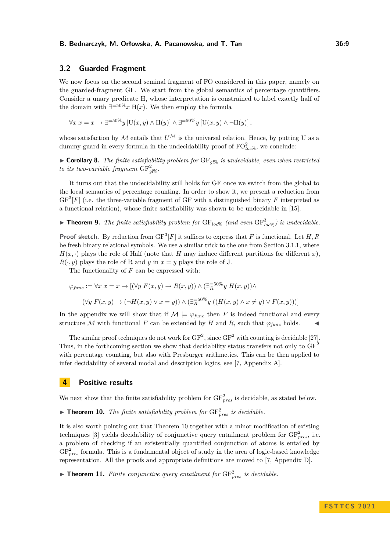### **3.2 Guarded Fragment**

We now focus on the second seminal fragment of FO considered in this paper, namely on the guarded-fragment GF. We start from the global semantics of percentage quantifiers. Consider a unary predicate H, whose interpretation is constrained to label exactly half of the domain with  $\exists^{=50\%} x \mathbb{H}(x)$ . We then employ the formula

 $\forall x \ x = x \rightarrow \exists^{=50\%} y$  [U(*x, y*) ∧ H(*y*)] ∧  $\exists^{=50\%} y$  [U(*x, y*) ∧ ¬H(*y*)],

whose satisfaction by M entails that  $U^{\mathcal{M}}$  is the universal relation. Hence, by putting U as a dummy guard in every formula in the undecidability proof of  $\mathrm{FO}^2_{loc\%}$ , we conclude:

 $\triangleright$  **Corollary 8.** *The finite satisfiability problem for* GF<sub>*ql*%</sub> *is undecidable, even when restricted to its two-variable fragment*  $GF_{gl\%}^2$ .

It turns out that the undecidability still holds for GF once we switch from the global to the local semantics of percentage counting. In order to show it, we present a reduction from  $GF<sup>3</sup>[F]$  (i.e. the three-variable fragment of GF with a distinguished binary F interpreted as a functional relation), whose finite satisfiability was shown to be undecidable in [\[15\]](#page-13-13).

**• Theorem 9.** The finite satisfiability problem for  $GF_{loc\%}$  (and even  $GF_{loc\%}^3$ ) is undecidable.

**Proof sketch.** By reduction from  $GF^3[F]$  it suffices to express that F is functional. Let H, R be fresh binary relational symbols. We use a similar trick to the one from Section [3.1.1,](#page-5-0) where  $H(x, \cdot)$  plays the role of Half (note that *H* may induce different partitions for different *x*),  $R(\cdot, y)$  plays the role of R and *y* in  $x = y$  plays the role of J.

The functionality of *F* can be expressed with:

$$
\varphi_{func} := \forall x \ x = x \to [(\forall y \ F(x, y) \to R(x, y)) \land (\exists_R^{-50\%} y \ H(x, y)) \land
$$

$$
(\forall y \ F(x, y) \to (\neg H(x, y) \lor x = y)) \land (\exists_R^{-50\%} y \ ((H(x, y) \land x \neq y) \lor F(x, y)))]
$$

In the appendix we will show that if  $M \models \varphi_{func}$  then *F* is indeed functional and every structure  $M$  with functional  $F$  can be extended by  $H$  and  $R$ , such that  $\varphi_{func}$  holds.

The similar proof techniques do not work for  $GF^2$ , since  $GF^2$  with counting is decidable [\[27\]](#page-14-9). Thus, in the forthcoming section we show that decidability status transfers not only to  $GF<sup>2</sup>$ with percentage counting, but also with Presburger arithmetics. This can be then applied to infer decidability of several modal and description logics, see [\[7,](#page-13-12) Appendix A].

### <span id="page-8-1"></span>**4 Positive results**

We next show that the finite satisfiability problem for  $GF_{pres}^2$  is decidable, as stated below.

<span id="page-8-0"></span> $\blacktriangleright$  **Theorem 10.** The finite satisfiability problem for  $GF_{pres}^2$  is decidable.

It is also worth pointing out that Theorem [10](#page-8-0) together with a minor modification of existing techniques [\[3\]](#page-13-14) yields decidability of conjunctive query entailment problem for  $GF_{pres}^{2}$ , i.e. a problem of checking if an existentially quantified conjunction of atoms is entailed by  $GF<sub>pres</sub><sup>2</sup>$  formula. This is a fundamental object of study in the area of logic-based knowledge representation. All the proofs and appropriate definitions are moved to [\[7,](#page-13-12) Appendix D].

 $\blacktriangleright$  **Theorem 11.** *Finite conjunctive query entailment for*  $GF_{pres}^2$  *is decidable.*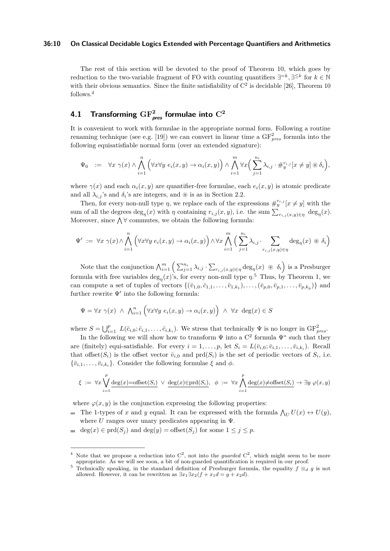#### **36:10 On Classical Decidable Logics Extended with Percentage Quantifiers and Arithmetics**

The rest of this section will be devoted to the proof of Theorem [10,](#page-8-0) which goes by reduction to the two-variable fragment of FO with counting quantifiers  $\exists^{=k}, \exists^{\leq k}$  for  $k \in \mathbb{N}$ with their obvious semantics. Since the finite satisfiability of  $C<sup>2</sup>$  is decidable [\[26\]](#page-14-5), Theorem [10](#page-8-0) follows.<sup>[4](#page-9-0)</sup>

## **4.1 Transforming GF<sup>2</sup> pres formulae into C<sup>2</sup>**

It is convenient to work with formulae in the appropriate normal form. Following a routine renaming technique (see e.g. [\[19\]](#page-14-10)) we can convert in linear time a  $GF_{pres}^2$  formula into the following equisatisfiable normal form (over an extended signature):

$$
\Psi_0 \quad := \quad \forall x \ \gamma(x) \land \bigwedge_{i=1}^n \left( \forall x \forall y \ e_i(x, y) \to \alpha_i(x, y) \right) \land \bigwedge_{i=1}^m \forall x \Big( \sum_{j=1}^{n_i} \lambda_{i,j} \cdot \#_{y}^{r_{i,j}} [x \neq y] \circledast \delta_i \Big),
$$

where  $\gamma(x)$  and each  $\alpha_i(x, y)$  are quantifier-free formulae, each  $e_i(x, y)$  is atomic predicate and all  $\lambda_{i,j}$ 's and  $\delta_i$ 's are integers, and ⊛ is as in Section [2.2.](#page-2-1)

Then, for every non-null type  $\eta$ , we replace each of the expressions  $\#_{y}^{r_{i,j}}[x \neq y]$  with the sum of all the degrees  $\deg_{\eta}(x)$  with  $\eta$  containing  $r_{i,j}(x, y)$ , i.e. the sum  $\sum_{r_{i,j}(x, y) \in \eta} \deg_{\eta}(x)$ . Moreover, since  $\bigwedge \forall$  commutes, we obtain the following formula:

$$
\Psi' := \forall x \ \gamma(x) \land \bigwedge_{i=1}^{n} \left( \forall x \forall y \ e_i(x, y) \rightarrow \alpha_i(x, y) \right) \land \forall x \bigwedge_{i=1}^{m} \left( \sum_{j=1}^{n_i} \lambda_{i,j} \cdot \sum_{r_{i,j}(x, y) \in \eta} \deg_{\eta}(x) \circledast \delta_i \right)
$$

Note that the conjunction  $\bigwedge_{i=1}^{m} \left( \sum_{j=1}^{n_i} \lambda_{i,j} \cdot \sum_{r_{i,j}(x,y) \in \eta} \deg_{\eta}(x) \circledast \delta_i \right)$  is a Presburger formula with free variables  $\deg_{\eta}(x)$ 's, for every non-null type  $\eta$ <sup>[5](#page-9-1)</sup>. Thus, by Theorem [1,](#page-3-1) we can compute a set of tuples of vectors  $\{(\bar{v}_{1,0}, \bar{c}_{1,1}, \ldots, \bar{v}_{1,k_1}), \ldots, (\bar{v}_{p,0}, \bar{v}_{p,1}, \ldots, \bar{v}_{p,k_p})\}$  and further rewrite  $\Psi'$  into the following formula:

$$
\Psi = \forall x \ \gamma(x) \ \land \ \bigwedge_{i=1}^{n} \left( \forall x \forall y \ e_i(x, y) \to \alpha_i(x, y) \right) \ \land \ \forall x \ \deg(x) \in S
$$

where  $S = \bigcup_{i=1}^p L(\bar{c}_{i,0}; \bar{c}_{i,1}, \ldots, \bar{c}_{i,k_i})$ . We stress that technically  $\Psi$  is no longer in  $GF_{pres}^2$ .

In the following we will show how to transform  $\Psi$  into a  $C^2$  formula  $\Psi^*$  such that they are (finitely) equi-satisfiable. For every  $i = 1, \ldots, p$ , let  $S_i = L(\bar{v}_{i,0}; \bar{v}_{i,1}, \ldots, \bar{v}_{i,k_i})$ . Recall that offset $(S_i)$  is the offset vector  $\bar{v}_{i,0}$  and  $\text{prd}(S_i)$  is the set of periodic vectors of  $S_i$ , i.e.  ${\lbrace \bar{v}_{i,1}, \ldots, \bar{v}_{i,k_i} \rbrace}$ . Consider the following formulae  $\xi$  and  $\phi$ .

$$
\xi \ := \ \forall x \bigvee_{i=1}^p \underline{\operatorname{deg}}(x) = \operatorname{offset}(S_i) \ \lor \ \underline{\operatorname{deg}}(x) \in \operatorname{prd}(S_i), \ \ \phi \ := \ \forall x \bigwedge_{i=1}^p \underline{\operatorname{deg}}(x) \neq \operatorname{offset}(S_i) \ \to \ \exists y \ \varphi(x,y)
$$

where  $\varphi(x, y)$  is the conjunction expressing the following properties:

- The 1-types of *x* and *y* equal. It can be expressed with the formula  $\bigwedge_U U(x) \leftrightarrow U(y)$ , where  $U$  ranges over unary predicates appearing in  $\Psi$ .
- $\qquad$  deg(*x*)  $\in$  prd(*S*<sub>*j*</sub>) and deg(*y*) = offset(*S*<sub>*j*</sub>) for some  $1 \leq j \leq p$ .

<span id="page-9-0"></span><sup>&</sup>lt;sup>4</sup> Note that we propose a reduction into  $C^2$ , not into the *guarded*  $C^2$ , which might seem to be more appropriate. As we will see soon, a bit of non-guarded quantification is required in our proof.

<span id="page-9-1"></span><sup>&</sup>lt;sup>5</sup> Technically speaking, in the standard definition of Presburger formula, the equality  $f \equiv_d g$  is not allowed. However, it can be rewritten as  $\exists x_1 \exists x_2 (f + x_1 d = g + x_2 d)$ .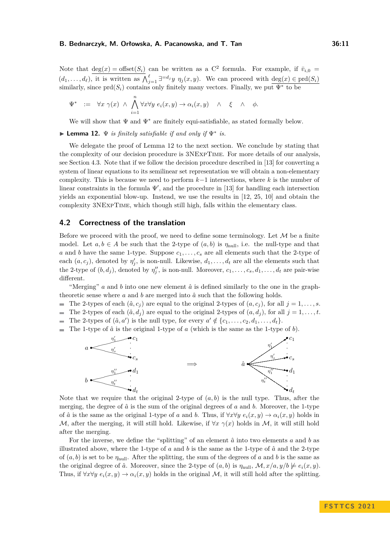Note that  $deg(x) = offset(S_i)$  can be written as a C<sup>2</sup> formula. For example, if  $\bar{v}_{i,0} =$  $(d_1, \ldots, d_\ell)$ , it is written as  $\bigwedge_{j=1}^{\ell} \exists^{=d_j} y \; \eta_j(x, y)$ . We can proceed with  $\deg(x) \in \text{prd}(S_i)$ similarly, since  $\text{ord}(S_i)$  contains only finitely many vectors. Finally, we put  $\Psi^*$  to be

$$
\Psi^* \quad := \quad \forall x \ \gamma(x) \ \land \ \bigwedge_{i=1}^n \forall x \forall y \ e_i(x, y) \ \to \alpha_i(x, y) \quad \land \quad \xi \quad \land \quad \phi.
$$

We will show that  $\Psi$  and  $\Psi^*$  are finitely equi-satisfiable, as stated formally below.

<span id="page-10-0"></span>▶ **Lemma 12.** Ψ *is finitely satisfiable if and only if* Ψ<sup>∗</sup> *is.*

We delegate the proof of Lemma [12](#page-10-0) to the next section. We conclude by stating that the complexity of our decision procedure is 3NExpTime. For more details of our analysis, see Section [4.3.](#page-12-0) Note that if we follow the decision procedure described in [\[13\]](#page-13-10) for converting a system of linear equations to its semilinear set representation we will obtain a non-elementary complexity. This is because we need to perform *k*−1 intersections, where *k* is the number of linear constraints in the formula  $\Psi'$ , and the procedure in [\[13\]](#page-13-10) for handling each intersection yields an exponential blow-up. Instead, we use the results in [\[12,](#page-13-15) [25,](#page-14-11) [10\]](#page-13-16) and obtain the complexity 3NExpTime, which though still high, falls within the elementary class.

### **4.2 Correctness of the translation**

Before we proceed with the proof, we need to define some terminology. Let  $\mathcal M$  be a finite model. Let  $a, b \in A$  be such that the 2-type of  $(a, b)$  is  $\eta_{null}$ , i.e. the null-type and that *a* and *b* have the same 1-type. Suppose  $c_1, \ldots, c_s$  are all elements such that the 2-type of each  $(a, c_j)$ , denoted by  $\eta'_j$ , is non-null. Likewise,  $d_1, \ldots, d_t$  are all the elements such that the 2-type of  $(b, d_j)$ , denoted by  $\eta''_j$ , is non-null. Moreover,  $c_1, \ldots, c_s, d_1, \ldots, d_t$  are pair-wise different.

"Merging"  $a$  and  $b$  into one new element  $\hat{a}$  is defined similarly to the one in the graphtheoretic sense where  $a$  and  $b$  are merged into  $\hat{a}$  such that the following holds.

- The 2-types of each  $(\hat{a}, c_j)$  are equal to the original 2-types of  $(a, c_j)$ , for all  $j = 1, \ldots, s$ .  $\blacksquare$
- The 2-types of each  $(\hat{a}, d_i)$  are equal to the original 2-types of  $(a, d_i)$ , for all  $j = 1, \ldots, t$ .
- The 2-types of  $(\hat{a}, a')$  is the null type, for every  $a' \notin \{c_1, \ldots, c_2, d_1, \ldots, d_t\}$ .
- The 1-type of  $\hat{a}$  is the original 1-type of  $a$  (which is the same as the 1-type of  $b$ ).



Note that we require that the original 2-type of  $(a, b)$  is the null type. Thus, after the merging, the degree of  $\hat{a}$  is the sum of the original degrees of  $a$  and  $b$ . Moreover, the 1-type of  $\hat{a}$  is the same as the original 1-type of *a* and *b*. Thus, if  $\forall x \forall y \ e_i(x, y) \rightarrow \alpha_i(x, y)$  holds in M, after the merging, it will still hold. Likewise, if  $\forall x \gamma(x)$  holds in M, it will still hold after the merging.

For the inverse, we define the "splitting" of an element  $\hat{a}$  into two elements *a* and *b* as illustrated above, where the 1-type of  $a$  and  $b$  is the same as the 1-type of  $\hat{a}$  and the 2-type of  $(a, b)$  is set to be  $\eta_{\text{null}}$ . After the splitting, the sum of the degrees of *a* and *b* is the same as the original degree of  $\hat{a}$ . Moreover, since the 2-type of  $(a, b)$  is  $\eta_{\text{null}}$ ,  $\mathcal{M}$ ,  $x/a$ ,  $y/b \not\models e_i(x, y)$ . Thus, if  $\forall x \forall y \ e_i(x, y) \rightarrow \alpha_i(x, y)$  holds in the original M, it will still hold after the splitting.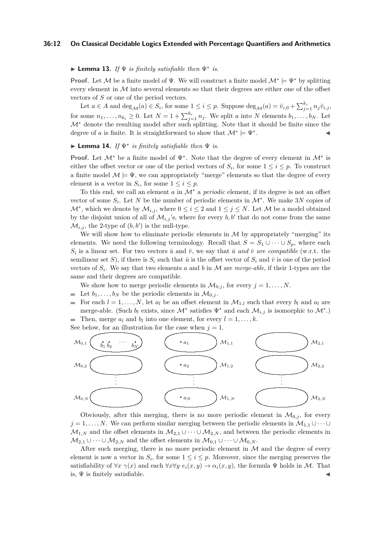#### **36:12 On Classical Decidable Logics Extended with Percentage Quantifiers and Arithmetics**

### ▶ **Lemma 13.** *If*  $\Psi$  *is finitely satisfiable then*  $\Psi^*$  *is.*

**Proof.** Let M be a finite model of  $\Psi$ . We will construct a finite model  $\mathcal{M}^* \models \Psi^*$  by splitting every element in  $M$  into several elements so that their degrees are either one of the offset vectors of *S* or one of the period vectors.

Let  $a \in A$  and  $\deg_{\mathcal{M}}(a) \in S_i$ , for some  $1 \leq i \leq p$ . Suppose  $\deg_{\mathcal{M}}(a) = \bar{v}_{i,0} + \sum_{j=1}^{k_i} n_j \bar{v}_{i,j}$ , for some  $n_1, \ldots, n_{k_i} \geq 0$ . Let  $N = 1 + \sum_{j=1}^{k_i} n_j$ . We split *a* into *N* elements  $b_1, \ldots, b_N$ . Let M<sup>∗</sup> denote the resulting model after such splitting. Note that it should be finite since the degree of *a* is finite. It is straightforward to show that  $\mathcal{M}^* \models \Psi^*$ . ◀

### ▶ **Lemma 14.** *If* Ψ<sup>∗</sup> *is finitely satisfiable then* Ψ *is.*

**Proof.** Let  $\mathcal{M}^*$  be a finite model of  $\Psi^*$ . Note that the degree of every element in  $\mathcal{M}^*$  is either the offset vector or one of the period vectors of  $S_i$ , for some  $1 \leq i \leq p$ . To construct a finite model  $\mathcal{M} \models \Psi$ , we can appropriately "merge" elements so that the degree of every element is a vector in  $S_i$ , for some  $1 \leq i \leq p$ .

To this end, we call an element *a* in M<sup>∗</sup> a *periodic* element, if its degree is not an offset vector of some  $S_i$ . Let N be the number of periodic elements in  $\mathcal{M}^*$ . We make 3N copies of  $\mathcal{M}^*$ , which we denote by  $\mathcal{M}_{i,j}$ , where  $0 \leq i \leq 2$  and  $1 \leq j \leq N$ . Let  $\mathcal{M}$  be a model obtained by the disjoint union of all of  $\mathcal{M}_{i,j}$ 's, where for every  $b, b'$  that do not come from the same  $\mathcal{M}_{i,j}$ , the 2-type of  $(b, b')$  is the null-type.

We will show how to eliminate periodic elements in  $M$  by appropriately "merging" its elements. We need the following terminology. Recall that  $S = S_1 \cup \cdots \cup S_n$ , where each  $S_i$  is a linear set. For two vectors  $\bar{u}$  and  $\bar{v}$ , we say that  $\bar{u}$  and  $\bar{v}$  are compatible (w.r.t. the semilinear set *S*), if there is  $S_i$  such that  $\bar{u}$  is the offset vector of  $S_i$  and  $\bar{v}$  is one of the period vectors of  $S_i$ . We say that two elements *a* and *b* in *M* are *merge-able*, if their 1-types are the same and their degrees are compatible.

We show how to merge periodic elements in  $\mathcal{M}_{0,i}$ , for every  $j = 1, \ldots, N$ .

- $\blacksquare$  Let  $b_1, \ldots, b_N$  be the periodic elements in  $\mathcal{M}_{0,j}$ .
- For each  $l = 1, \ldots, N$ , let  $a_l$  be an offset element in  $\mathcal{M}_{1,l}$  such that every  $b_l$  and  $a_l$  are  $\equiv$ merge-able. (Such  $b_l$  exists, since  $\mathcal{M}^*$  satisfies  $\Psi^*$  and each  $\mathcal{M}_{i,j}$  is isomorphic to  $\mathcal{M}^*$ .) Then, merge  $a_l$  and  $b_l$  into one element, for every  $l = 1, \ldots, k$ .

See below, for an illustration for the case when  $j = 1$ .



Obviously, after this merging, there is no more periodic element in  $\mathcal{M}_{0,i}$ , for every  $j = 1, \ldots, N$ . We can perform similar merging between the periodic elements in  $\mathcal{M}_{1,1} \cup \cdots \cup$  $M_{1,N}$  and the offset elements in  $M_{2,1} \cup \cdots \cup M_{2,N}$ , and between the periodic elements in  $\mathcal{M}_{2,1} \cup \cdots \cup \mathcal{M}_{2,N}$  and the offset elements in  $\mathcal{M}_{0,1} \cup \cdots \cup \mathcal{M}_{0,N}$ .

After such merging, there is no more periodic element in  $M$  and the degree of every element is now a vector in  $S_i$ , for some  $1 \leq i \leq p$ . Moreover, since the merging preserves the satisfiability of  $\forall x \gamma(x)$  and each  $\forall x \forall y \ e_i(x, y) \rightarrow \alpha_i(x, y)$ , the formula  $\Psi$  holds in M. That is,  $\Psi$  is finitely satisfiable.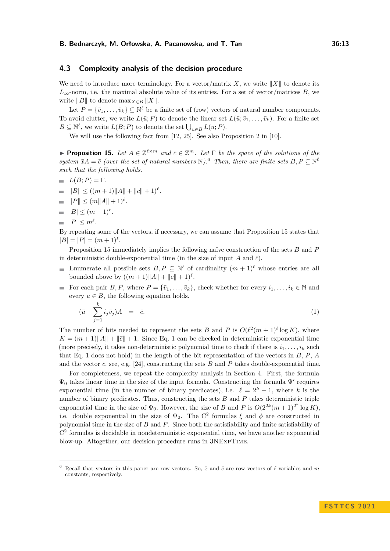### <span id="page-12-0"></span>**4.3 Complexity analysis of the decision procedure**

We need to introduce more terminology. For a vector/matrix *X*, we write  $||X||$  to denote its  $L_{\infty}$ -norm, i.e. the maximal absolute value of its entries. For a set of vector/matrices *B*, we write  $||B||$  to denote  $\max_{X \in B} ||X||$ .

Let  $P = {\bar{v}_1, \ldots, \bar{v}_k} \subseteq \mathbb{N}^{\ell}$  be a finite set of (row) vectors of natural number components. To avoid clutter, we write  $L(\bar{u}; P)$  to denote the linear set  $L(\bar{u}; \bar{v}_1, \ldots, \bar{v}_k)$ . For a finite set  $B \subseteq \mathbb{N}^{\ell}$ , we write  $L(B; P)$  to denote the set  $\bigcup_{\bar{u} \in B} L(\bar{u}; P)$ .

We will use the following fact from [\[12,](#page-13-15) [25\]](#page-14-11). See also Proposition 2 in [\[10\]](#page-13-16).

<span id="page-12-2"></span>**• Proposition 15.** Let  $A \in \mathbb{Z}^{\ell \times m}$  and  $\bar{c} \in \mathbb{Z}^m$ . Let  $\Gamma$  be the space of the solutions of the *system*  $\bar{x}A = \bar{c}$  *(over the set of natural numbers* N).<sup>[6](#page-12-1)</sup> *Then, there are finite sets*  $B, P \subseteq \mathbb{N}^{\ell}$ *such that the following holds.*

$$
= L(B;P) = \Gamma.
$$

- $||B|| \leq ((m+1)||A|| + ||\bar{c}|| + 1)^{\ell}$ .
- ∥*P*∥ ≤ (*m*∥*A*∥ + 1)*<sup>ℓ</sup> .*
- $|B| \leq (m+1)^{\ell}$ .
- $|P| \leq m^{\ell}$ .

By repeating some of the vectors, if necessary, we can assume that Proposition [15](#page-12-2) states that  $|B| = |P| = (m+1)^{\ell}.$ 

Proposition [15](#page-12-2) immediately implies the following naïve construction of the sets *B* and *P* in deterministic double-exponential time (in the size of input *A* and  $\bar{c}$ ).

- Enumerate all possible sets  $B, P \subseteq \mathbb{N}^{\ell}$  of cardinality  $(m+1)^{\ell}$  whose entries are all bounded above by  $((m+1)||A|| + ||\bar{c}|| + 1)^{\ell}$ .
- For each pair *B*, *P*, where  $P = {\bar{v}_1, \ldots, \bar{v}_k}$ , check whether for every  $i_1, \ldots, i_k \in \mathbb{N}$  and  $\blacksquare$ every  $\bar{u} \in B$ , the following equation holds.

<span id="page-12-3"></span>
$$
(\bar{u} + \sum_{j=1}^{k} i_j \bar{v}_j)A = \bar{c}.
$$
\n
$$
(1)
$$

The number of bits needed to represent the sets *B* and *P* is  $O(\ell^2(m+1)^{\ell} \log K)$ , where  $K = (m+1) \|A\| + \|c\| + 1$  $K = (m+1) \|A\| + \|c\| + 1$ . Since Eq. 1 can be checked in deterministic exponential time (more precisely, it takes non-deterministic polynomial time to check if there is  $i_1, \ldots, i_k$  such that Eq. [1](#page-12-3) does not hold) in the length of the bit representation of the vectors in *B*, *P*, *A* and the vector  $\bar{c}$ , see, e.g. [\[24\]](#page-14-12), constructing the sets *B* and *P* takes double-exponential time.

For completeness, we repeat the complexity analysis in Section [4.](#page-8-1) First, the formula  $\Psi_0$  takes linear time in the size of the input formula. Constructing the formula  $\Psi'$  requires exponential time (in the number of binary predicates), i.e.  $\ell = 2^k - 1$ , where *k* is the number of binary predicates. Thus, constructing the sets *B* and *P* takes deterministic triple exponential time in the size of  $\Psi_0$ . However, the size of *B* and *P* is  $O(2^{2k}(m+1)^{2^k} \log K)$ , i.e. double exponential in the size of  $\Psi_0$ . The C<sup>2</sup> formulas  $\xi$  and  $\phi$  are constructed in polynomial time in the size of *B* and *P*. Since both the satisfiability and finite satisfiability of C 2 formulas is decidable in nondeterministic exponential time, we have another exponential blow-up. Altogether, our decision procedure runs in 3NExpTime.

<span id="page-12-1"></span><sup>6</sup> Recall that vectors in this paper are row vectors. So, *x*¯ and *c*¯ are row vectors of *ℓ* variables and *m* constants, respectively.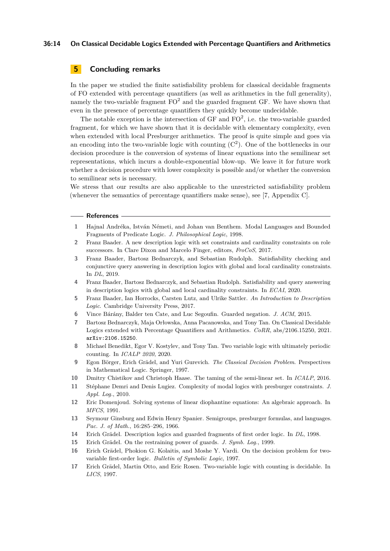#### **36:14 On Classical Decidable Logics Extended with Percentage Quantifiers and Arithmetics**

### **5 Concluding remarks**

In the paper we studied the finite satisfiability problem for classical decidable fragments of FO extended with percentage quantifiers (as well as arithmetics in the full generality), namely the two-variable fragment  $FO^2$  and the guarded fragment GF. We have shown that even in the presence of percentage quantifiers they quickly become undecidable.

The notable exception is the intersection of  $GF$  and  $FO^2$ , i.e. the two-variable guarded fragment, for which we have shown that it is decidable with elementary complexity, even when extended with local Presburger arithmetics. The proof is quite simple and goes via an encoding into the two-variable logic with counting  $(C<sup>2</sup>)$ . One of the bottlenecks in our decision procedure is the conversion of systems of linear equations into the semilinear set representations, which incurs a double-exponential blow-up. We leave it for future work whether a decision procedure with lower complexity is possible and/or whether the conversion to semilinear sets is necessary.

We stress that our results are also applicable to the unrestricted satisfiability problem (whenever the semantics of percentage quantifiers make sense), see [\[7,](#page-13-12) Appendix C].

#### **References**

- <span id="page-13-1"></span>**1** Hajnal Andréka, István Németi, and Johan van Benthem. Modal Languages and Bounded Fragments of Predicate Logic. *J. Philosophical Logic*, 1998.
- <span id="page-13-9"></span>**2** Franz Baader. A new description logic with set constraints and cardinality constraints on role successors. In Clare Dixon and Marcelo Finger, editors, *FroCoS*, 2017.
- <span id="page-13-14"></span>**3** Franz Baader, Bartosz Bednarczyk, and Sebastian Rudolph. Satisfiability checking and conjunctive query answering in description logics with global and local cardinality constraints. In *DL*, 2019.
- <span id="page-13-3"></span>**4** Franz Baader, Bartosz Bednarczyk, and Sebastian Rudolph. Satisfiability and query answering in description logics with global and local cardinality constraints. In *ECAI*, 2020.
- <span id="page-13-6"></span>**5** Franz Baader, Ian Horrocks, Carsten Lutz, and Ulrike Sattler. *An Introduction to Description Logic*. Cambridge University Press, 2017.
- <span id="page-13-2"></span>**6** Vince Bárány, Balder ten Cate, and Luc Segoufin. Guarded negation. *J. ACM*, 2015.
- <span id="page-13-12"></span>**7** Bartosz Bednarczyk, Maja Orłowska, Anna Pacanowska, and Tony Tan. On Classical Decidable Logics extended with Percentage Quantifiers and Arithmetics. *CoRR*, abs/2106.15250, 2021. [arXiv:2106.15250](http://arxiv.org/abs/2106.15250).
- <span id="page-13-5"></span>**8** Michael Benedikt, Egor V. Kostylev, and Tony Tan. Two variable logic with ultimately periodic counting. In *ICALP 2020*, 2020.
- <span id="page-13-0"></span>**9** Egon Börger, Erich Grädel, and Yuri Gurevich. *The Classical Decision Problem*. Perspectives in Mathematical Logic. Springer, 1997.
- <span id="page-13-16"></span>**10** Dmitry Chistikov and Christoph Haase. The taming of the semi-linear set. In *ICALP*, 2016.
- <span id="page-13-8"></span>**11** Stéphane Demri and Denis Lugiez. Complexity of modal logics with presburger constraints. *J. Appl. Log.*, 2010.
- <span id="page-13-15"></span>**12** Eric Domenjoud. Solving systems of linear diophantine equations: An algebraic approach. In *MFCS*, 1991.
- <span id="page-13-10"></span>**13** Seymour Ginsburg and Edwin Henry Spanier. Semigroups, presburger formulas, and languages. *Pac. J. of Math.*, 16:285–296, 1966.
- <span id="page-13-7"></span>**14** Erich Grädel. Description logics and guarded fragments of first order logic. In *DL*, 1998.
- <span id="page-13-13"></span>**15** Erich Grädel. On the restraining power of guards. *J. Symb. Log.*, 1999.
- <span id="page-13-11"></span>**16** Erich Grädel, Phokion G. Kolaitis, and Moshe Y. Vardi. On the decision problem for twovariable first-order logic. *Bulletin of Symbolic Logic*, 1997.
- <span id="page-13-4"></span>**17** Erich Grädel, Martin Otto, and Eric Rosen. Two-variable logic with counting is decidable. In *LICS*, 1997.